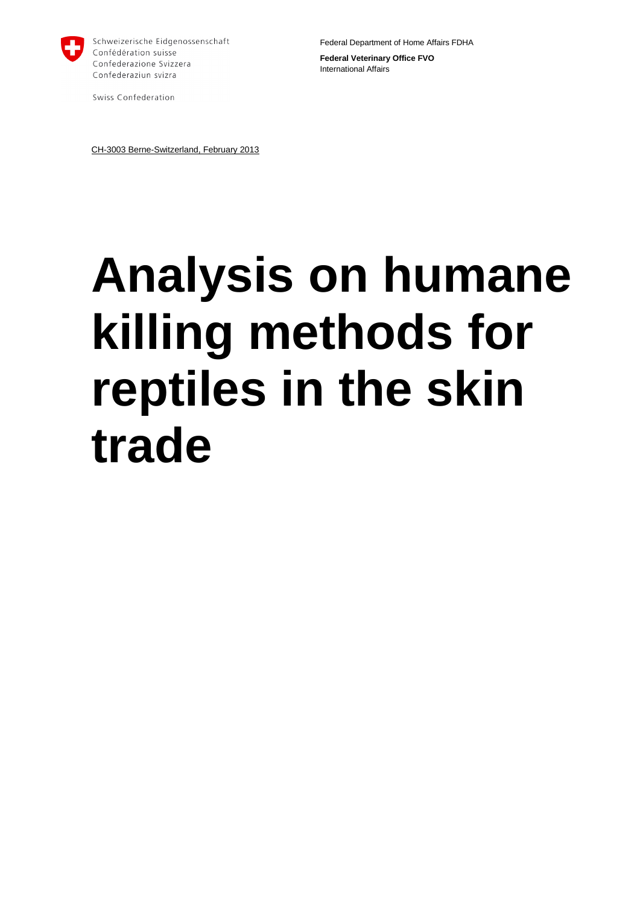

Schweizerische Eidgenossenschaft Confédération suisse Confederazione Svizzera Confederaziun svizra

Swiss Confederation

Federal Department of Home Affairs FDHA

**Federal Veterinary Office FVO** International Affairs

CH-3003 Berne-Switzerland, February 2013

# **Analysis on humane killing methods for reptiles in the skin trade**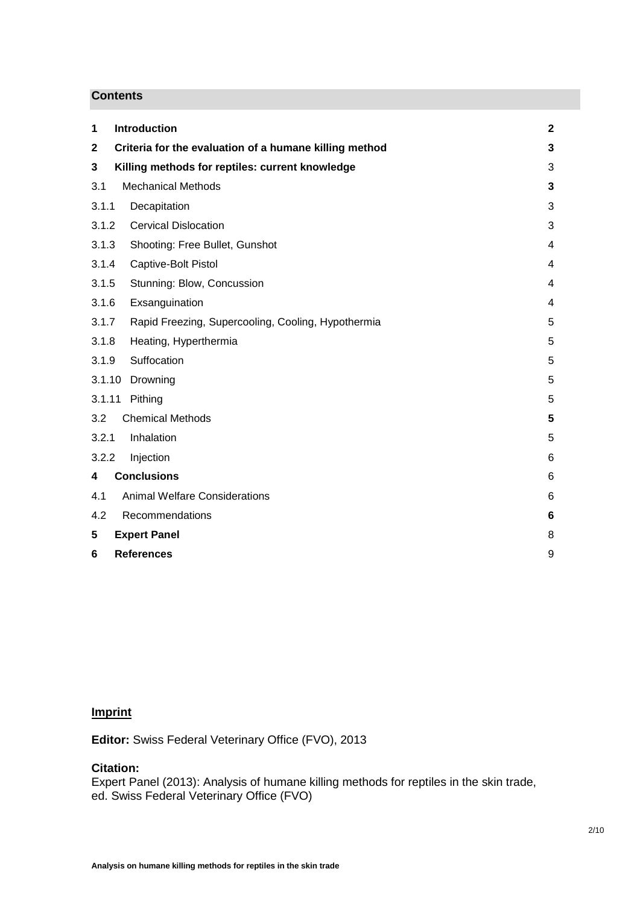# **Contents**

| 1           | Introduction                                           | $\mathbf{2}$   |
|-------------|--------------------------------------------------------|----------------|
| $\mathbf 2$ | Criteria for the evaluation of a humane killing method | 3              |
| 3           | Killing methods for reptiles: current knowledge        | 3              |
| 3.1         | <b>Mechanical Methods</b>                              | 3              |
| 3.1.1       | Decapitation                                           | 3              |
| 3.1.2       | <b>Cervical Dislocation</b>                            | 3              |
| 3.1.3       | Shooting: Free Bullet, Gunshot                         | 4              |
| 3.1.4       | Captive-Bolt Pistol                                    | 4              |
| 3.1.5       | Stunning: Blow, Concussion                             | $\overline{4}$ |
| 3.1.6       | Exsanguination                                         | 4              |
| 3.1.7       | Rapid Freezing, Supercooling, Cooling, Hypothermia     | 5              |
| 3.1.8       | Heating, Hyperthermia                                  | 5              |
| 3.1.9       | Suffocation                                            | 5              |
| 3.1.10      | Drowning                                               | 5              |
| 3.1.11      | Pithing                                                | 5              |
| 3.2         | <b>Chemical Methods</b>                                | 5              |
| 3.2.1       | Inhalation                                             | 5              |
| 3.2.2       | Injection                                              | 6              |
| 4           | <b>Conclusions</b>                                     | 6              |
| 4.1         | <b>Animal Welfare Considerations</b>                   | 6              |
| 4.2         | Recommendations                                        | 6              |
| 5           | <b>Expert Panel</b>                                    | 8              |
| 6           | <b>References</b><br>9                                 |                |

# **Imprint**

**Editor:** Swiss Federal Veterinary Office (FVO), 2013

# **Citation:**

Expert Panel (2013): Analysis of humane killing methods for reptiles in the skin trade, ed. Swiss Federal Veterinary Office (FVO)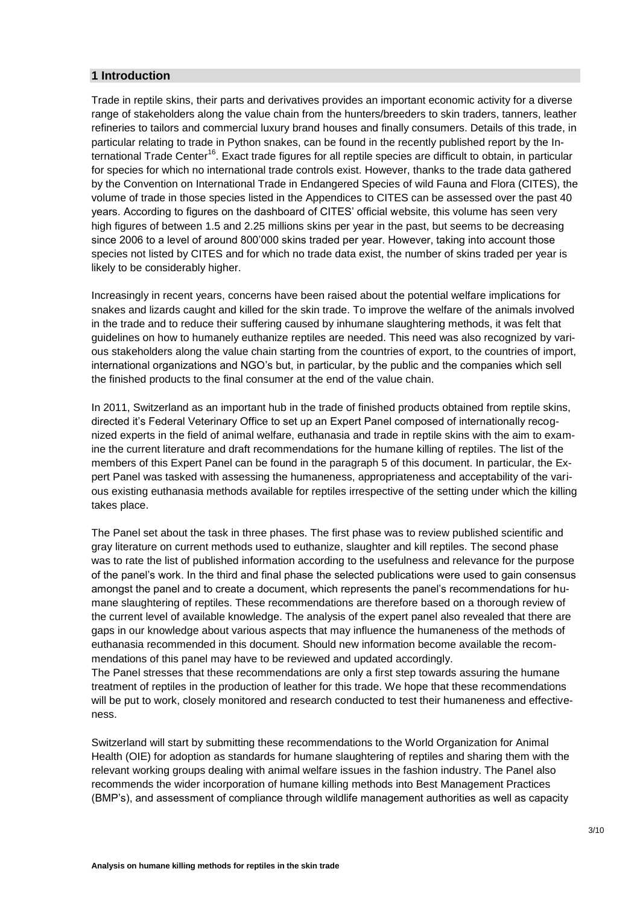#### **1 Introduction**

Trade in reptile skins, their parts and derivatives provides an important economic activity for a diverse range of stakeholders along the value chain from the hunters/breeders to skin traders, tanners, leather refineries to tailors and commercial luxury brand houses and finally consumers. Details of this trade, in particular relating to trade in Python snakes, can be found in the recently published report by the International Trade Center<sup>16</sup>. Exact trade figures for all reptile species are difficult to obtain, in particular for species for which no international trade controls exist. However, thanks to the trade data gathered by the Convention on International Trade in Endangered Species of wild Fauna and Flora (CITES), the volume of trade in those species listed in the Appendices to CITES can be assessed over the past 40 years. According to figures on the dashboard of CITES' official website, this volume has seen very high figures of between 1.5 and 2.25 millions skins per year in the past, but seems to be decreasing since 2006 to a level of around 800'000 skins traded per year. However, taking into account those species not listed by CITES and for which no trade data exist, the number of skins traded per year is likely to be considerably higher.

Increasingly in recent years, concerns have been raised about the potential welfare implications for snakes and lizards caught and killed for the skin trade. To improve the welfare of the animals involved in the trade and to reduce their suffering caused by inhumane slaughtering methods, it was felt that guidelines on how to humanely euthanize reptiles are needed. This need was also recognized by various stakeholders along the value chain starting from the countries of export, to the countries of import, international organizations and NGO's but, in particular, by the public and the companies which sell the finished products to the final consumer at the end of the value chain.

In 2011, Switzerland as an important hub in the trade of finished products obtained from reptile skins, directed it's Federal Veterinary Office to set up an Expert Panel composed of internationally recognized experts in the field of animal welfare, euthanasia and trade in reptile skins with the aim to examine the current literature and draft recommendations for the humane killing of reptiles. The list of the members of this Expert Panel can be found in the paragraph 5 of this document. In particular, the Expert Panel was tasked with assessing the humaneness, appropriateness and acceptability of the various existing euthanasia methods available for reptiles irrespective of the setting under which the killing takes place.

The Panel set about the task in three phases. The first phase was to review published scientific and gray literature on current methods used to euthanize, slaughter and kill reptiles. The second phase was to rate the list of published information according to the usefulness and relevance for the purpose of the panel's work. In the third and final phase the selected publications were used to gain consensus amongst the panel and to create a document, which represents the panel's recommendations for humane slaughtering of reptiles. These recommendations are therefore based on a thorough review of the current level of available knowledge. The analysis of the expert panel also revealed that there are gaps in our knowledge about various aspects that may influence the humaneness of the methods of euthanasia recommended in this document. Should new information become available the recommendations of this panel may have to be reviewed and updated accordingly.

The Panel stresses that these recommendations are only a first step towards assuring the humane treatment of reptiles in the production of leather for this trade. We hope that these recommendations will be put to work, closely monitored and research conducted to test their humaneness and effectiveness.

Switzerland will start by submitting these recommendations to the World Organization for Animal Health (OIE) for adoption as standards for humane slaughtering of reptiles and sharing them with the relevant working groups dealing with animal welfare issues in the fashion industry. The Panel also recommends the wider incorporation of humane killing methods into Best Management Practices (BMP's), and assessment of compliance through wildlife management authorities as well as capacity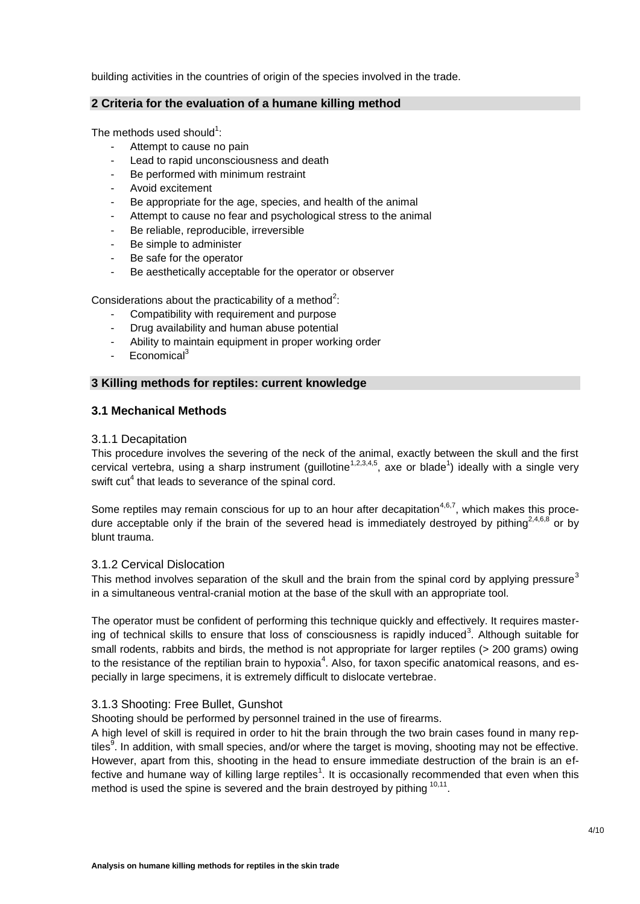building activities in the countries of origin of the species involved in the trade.

## **2 Criteria for the evaluation of a humane killing method**

The methods used should $1$ :

- Attempt to cause no pain
- Lead to rapid unconsciousness and death
- Be performed with minimum restraint
- Avoid excitement
- Be appropriate for the age, species, and health of the animal
- Attempt to cause no fear and psychological stress to the animal
- Be reliable, reproducible, irreversible
- Be simple to administer
- Be safe for the operator
- Be aesthetically acceptable for the operator or observer

Considerations about the practicability of a method<sup>2</sup>:

- Compatibility with requirement and purpose
- Drug availability and human abuse potential
- Ability to maintain equipment in proper working order
- $E$ conomical $3$

#### **3 Killing methods for reptiles: current knowledge**

#### **3.1 Mechanical Methods**

#### 3.1.1 Decapitation

This procedure involves the severing of the neck of the animal, exactly between the skull and the first cervical vertebra, using a sharp instrument (guillotine<sup>1,2,3,4,5</sup>, axe or blade<sup>1</sup>) ideally with a single very swift cut<sup>4</sup> that leads to severance of the spinal cord.

Some reptiles may remain conscious for up to an hour after decapitation<sup>4,6,7</sup>, which makes this procedure acceptable only if the brain of the severed head is immediately destroyed by pithing<sup>2,4,6,8</sup> or by blunt trauma.

## 3.1.2 Cervical Dislocation

This method involves separation of the skull and the brain from the spinal cord by applying pressure<sup>3</sup> in a simultaneous ventral-cranial motion at the base of the skull with an appropriate tool.

The operator must be confident of performing this technique quickly and effectively. It requires mastering of technical skills to ensure that loss of consciousness is rapidly induced<sup>3</sup>. Although suitable for small rodents, rabbits and birds, the method is not appropriate for larger reptiles (> 200 grams) owing to the resistance of the reptilian brain to hypoxia<sup>4</sup>. Also, for taxon specific anatomical reasons, and especially in large specimens, it is extremely difficult to dislocate vertebrae.

## 3.1.3 Shooting: Free Bullet, Gunshot

Shooting should be performed by personnel trained in the use of firearms.

A high level of skill is required in order to hit the brain through the two brain cases found in many reptiles<sup>9</sup>. In addition, with small species, and/or where the target is moving, shooting may not be effective. However, apart from this, shooting in the head to ensure immediate destruction of the brain is an effective and humane way of killing large reptiles<sup>1</sup>. It is occasionally recommended that even when this method is used the spine is severed and the brain destroyed by pithing  $10,11$ .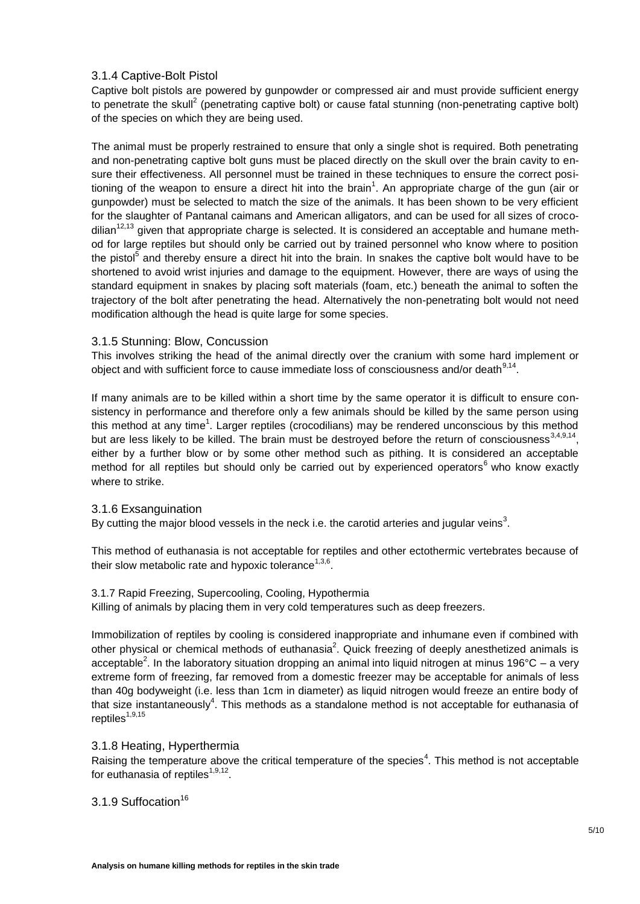# 3.1.4 Captive-Bolt Pistol

Captive bolt pistols are powered by gunpowder or compressed air and must provide sufficient energy to penetrate the skull<sup>2</sup> (penetrating captive bolt) or cause fatal stunning (non-penetrating captive bolt) of the species on which they are being used.

The animal must be properly restrained to ensure that only a single shot is required. Both penetrating and non-penetrating captive bolt guns must be placed directly on the skull over the brain cavity to ensure their effectiveness. All personnel must be trained in these techniques to ensure the correct positioning of the weapon to ensure a direct hit into the brain<sup>1</sup>. An appropriate charge of the gun (air or gunpowder) must be selected to match the size of the animals. It has been shown to be very efficient for the slaughter of Pantanal caimans and American alligators, and can be used for all sizes of crocodilian<sup>12,13</sup> given that appropriate charge is selected. It is considered an acceptable and humane method for large reptiles but should only be carried out by trained personnel who know where to position the pistol<sup>5</sup> and thereby ensure a direct hit into the brain. In snakes the captive bolt would have to be shortened to avoid wrist injuries and damage to the equipment. However, there are ways of using the standard equipment in snakes by placing soft materials (foam, etc.) beneath the animal to soften the trajectory of the bolt after penetrating the head. Alternatively the non-penetrating bolt would not need modification although the head is quite large for some species.

## 3.1.5 Stunning: Blow, Concussion

This involves striking the head of the animal directly over the cranium with some hard implement or object and with sufficient force to cause immediate loss of consciousness and/or death<sup>9,14</sup>.

If many animals are to be killed within a short time by the same operator it is difficult to ensure consistency in performance and therefore only a few animals should be killed by the same person using this method at any time<sup>1</sup>. Larger reptiles (crocodilians) may be rendered unconscious by this method but are less likely to be killed. The brain must be destroyed before the return of consciousness<sup>3,4,9,14</sup>, either by a further blow or by some other method such as pithing. It is considered an acceptable method for all reptiles but should only be carried out by experienced operators<sup>6</sup> who know exactly where to strike.

## 3.1.6 Exsanguination

By cutting the major blood vessels in the neck i.e. the carotid arteries and jugular veins<sup>3</sup>.

This method of euthanasia is not acceptable for reptiles and other ectothermic vertebrates because of their slow metabolic rate and hypoxic tolerance $^{1,3,6}$ .

## 3.1.7 Rapid Freezing, Supercooling, Cooling, Hypothermia Killing of animals by placing them in very cold temperatures such as deep freezers.

Immobilization of reptiles by cooling is considered inappropriate and inhumane even if combined with other physical or chemical methods of euthanasia<sup>2</sup>. Quick freezing of deeply anesthetized animals is acceptable<sup>2</sup>. In the laboratory situation dropping an animal into liquid nitrogen at minus 196°C – a very extreme form of freezing, far removed from a domestic freezer may be acceptable for animals of less than 40g bodyweight (i.e. less than 1cm in diameter) as liquid nitrogen would freeze an entire body of that size instantaneously<sup>4</sup>. This methods as a standalone method is not acceptable for euthanasia of  $reptiles<sup>1,9,15</sup>$ 

## 3.1.8 Heating, Hyperthermia

Raising the temperature above the critical temperature of the species<sup>4</sup>. This method is not acceptable for euthanasia of reptiles $^{1,9,12}$ .

3.1.9 Suffocation<sup>16</sup>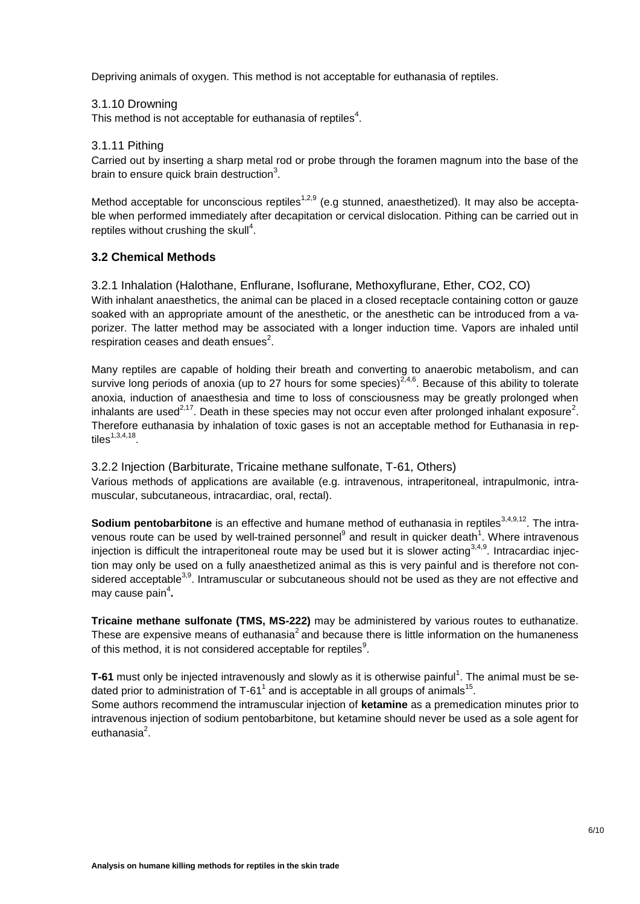Depriving animals of oxygen. This method is not acceptable for euthanasia of reptiles.

## 3.1.10 Drowning

This method is not acceptable for euthanasia of reptiles<sup>4</sup>.

#### 3.1.11 Pithing

Carried out by inserting a sharp metal rod or probe through the foramen magnum into the base of the brain to ensure quick brain destruction $3$ .

Method acceptable for unconscious reptiles<sup>1,2,9</sup> (e.g stunned, anaesthetized). It may also be acceptable when performed immediately after decapitation or cervical dislocation. Pithing can be carried out in reptiles without crushing the skull $4$ .

## **3.2 Chemical Methods**

3.2.1 Inhalation (Halothane, Enflurane, Isoflurane, Methoxyflurane, Ether, CO2, CO) With inhalant anaesthetics, the animal can be placed in a closed receptacle containing cotton or gauze soaked with an appropriate amount of the anesthetic, or the anesthetic can be introduced from a vaporizer. The latter method may be associated with a longer induction time. Vapors are inhaled until respiration ceases and death ensues $2$ .

Many reptiles are capable of holding their breath and converting to anaerobic metabolism, and can survive long periods of anoxia (up to 27 hours for some species)<sup> $2,4,6$ </sup>. Because of this ability to tolerate anoxia, induction of anaesthesia and time to loss of consciousness may be greatly prolonged when inhalants are used<sup>2,17</sup>. Death in these species may not occur even after prolonged inhalant exposure<sup>2</sup>. Therefore euthanasia by inhalation of toxic gases is not an acceptable method for Euthanasia in reptiles $^{1,3,4,18}$ .

3.2.2 Injection (Barbiturate, Tricaine methane sulfonate, T-61, Others) Various methods of applications are available (e.g. intravenous, intraperitoneal, intrapulmonic, intramuscular, subcutaneous, intracardiac, oral, rectal).

**Sodium pentobarbitone** is an effective and humane method of euthanasia in reptiles<sup>3,4,9,12</sup>. The intravenous route can be used by well-trained personnel<sup>9</sup> and result in quicker death<sup>1</sup>. Where intravenous injection is difficult the intraperitoneal route may be used but it is slower acting<sup>3,4,9</sup>. Intracardiac injection may only be used on a fully anaesthetized animal as this is very painful and is therefore not considered acceptable<sup>3,9</sup>. Intramuscular or subcutaneous should not be used as they are not effective and may cause pain<sup>4</sup>.

**Tricaine methane sulfonate (TMS, MS-222)** may be administered by various routes to euthanatize. These are expensive means of euthanasia<sup>2</sup> and because there is little information on the humaneness of this method, it is not considered acceptable for reptiles $^9$ .

T-61 must only be injected intravenously and slowly as it is otherwise painful<sup>1</sup>. The animal must be sedated prior to administration of T-61<sup>1</sup> and is acceptable in all groups of animals<sup>15</sup>.

Some authors recommend the intramuscular injection of **ketamine** as a premedication minutes prior to intravenous injection of sodium pentobarbitone, but ketamine should never be used as a sole agent for euthanasia<sup>2</sup>.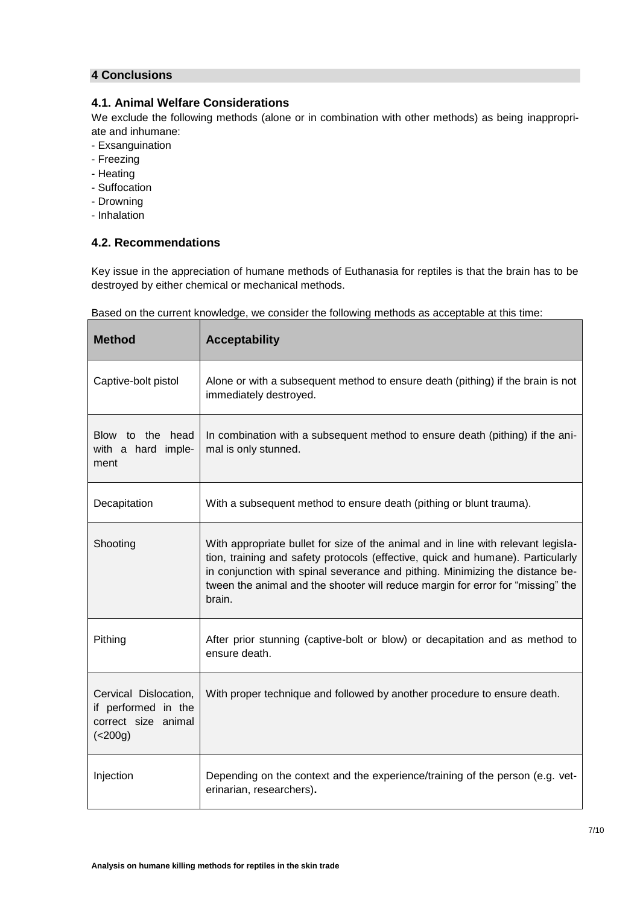# **4 Conclusions**

# **4.1. Animal Welfare Considerations**

We exclude the following methods (alone or in combination with other methods) as being inappropriate and inhumane:

- Exsanguination
- Freezing
- Heating
- Suffocation
- Drowning
- Inhalation

## **4.2. Recommendations**

Key issue in the appreciation of humane methods of Euthanasia for reptiles is that the brain has to be destroyed by either chemical or mechanical methods.

| <b>Method</b>                                                                   | <b>Acceptability</b>                                                                                                                                                                                                                                                                                                                               |
|---------------------------------------------------------------------------------|----------------------------------------------------------------------------------------------------------------------------------------------------------------------------------------------------------------------------------------------------------------------------------------------------------------------------------------------------|
| Captive-bolt pistol                                                             | Alone or with a subsequent method to ensure death (pithing) if the brain is not<br>immediately destroyed.                                                                                                                                                                                                                                          |
| Blow to the head<br>with a hard imple-<br>ment                                  | In combination with a subsequent method to ensure death (pithing) if the ani-<br>mal is only stunned.                                                                                                                                                                                                                                              |
| Decapitation                                                                    | With a subsequent method to ensure death (pithing or blunt trauma).                                                                                                                                                                                                                                                                                |
| Shooting                                                                        | With appropriate bullet for size of the animal and in line with relevant legisla-<br>tion, training and safety protocols (effective, quick and humane). Particularly<br>in conjunction with spinal severance and pithing. Minimizing the distance be-<br>tween the animal and the shooter will reduce margin for error for "missing" the<br>brain. |
| Pithing                                                                         | After prior stunning (captive-bolt or blow) or decapitation and as method to<br>ensure death.                                                                                                                                                                                                                                                      |
| Cervical Dislocation,<br>if performed in the<br>correct size animal<br>$(200g)$ | With proper technique and followed by another procedure to ensure death.                                                                                                                                                                                                                                                                           |
| Injection                                                                       | Depending on the context and the experience/training of the person (e.g. vet-<br>erinarian, researchers).                                                                                                                                                                                                                                          |

Based on the current knowledge, we consider the following methods as acceptable at this time: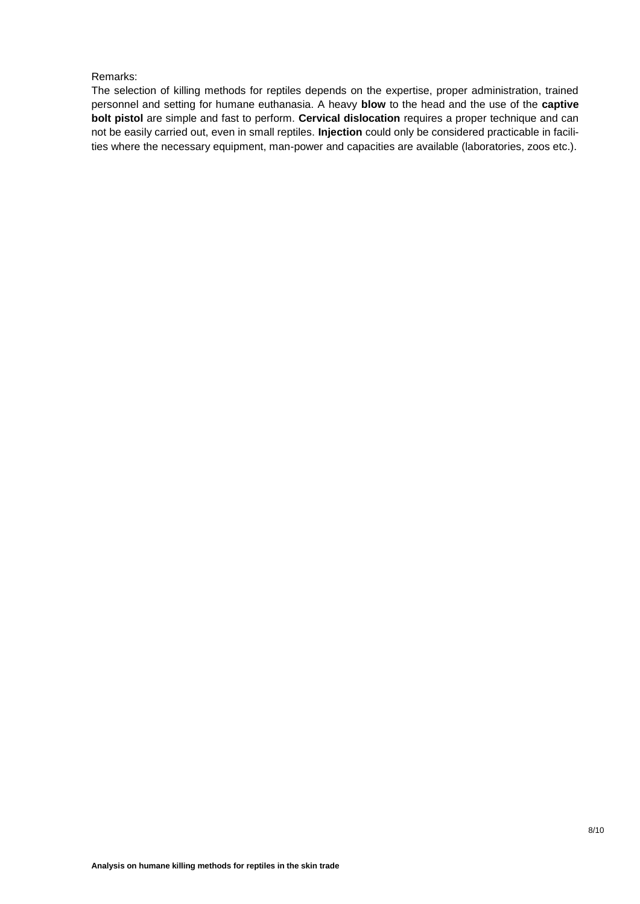#### Remarks:

The selection of killing methods for reptiles depends on the expertise, proper administration, trained personnel and setting for humane euthanasia. A heavy **blow** to the head and the use of the **captive bolt pistol** are simple and fast to perform. **Cervical dislocation** requires a proper technique and can not be easily carried out, even in small reptiles. **Injection** could only be considered practicable in facilities where the necessary equipment, man-power and capacities are available (laboratories, zoos etc.).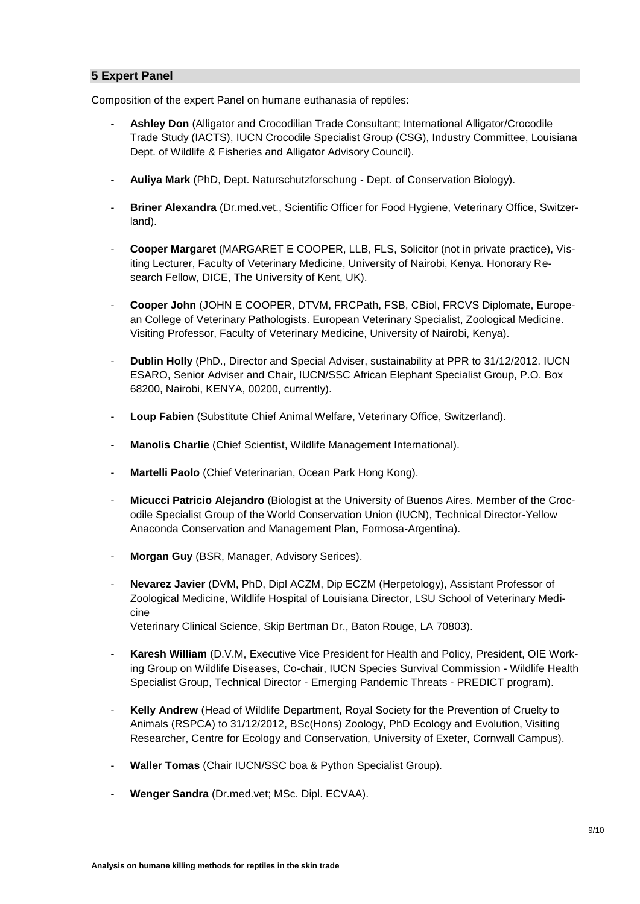## **5 Expert Panel**

Composition of the expert Panel on humane euthanasia of reptiles:

- **Ashley Don** (Alligator and Crocodilian Trade Consultant; International Alligator/Crocodile Trade Study (IACTS), IUCN Crocodile Specialist Group (CSG), Industry Committee, Louisiana Dept. of Wildlife & Fisheries and Alligator Advisory Council).
- **Auliya Mark** (PhD, Dept. Naturschutzforschung Dept. of Conservation Biology).
- **Briner Alexandra** (Dr.med.vet., Scientific Officer for Food Hygiene, Veterinary Office, Switzerland).
- **Cooper Margaret** (MARGARET E COOPER, LLB, FLS, Solicitor (not in private practice), Visiting Lecturer, Faculty of Veterinary Medicine, University of Nairobi, Kenya. Honorary Research Fellow, DICE, The University of Kent, UK).
- **Cooper John** (JOHN E COOPER, DTVM, FRCPath, FSB, CBiol, FRCVS Diplomate, European College of Veterinary Pathologists. European Veterinary Specialist, Zoological Medicine. Visiting Professor, Faculty of Veterinary Medicine, University of Nairobi, Kenya).
- **Dublin Holly** (PhD., Director and Special Adviser, sustainability at PPR to 31/12/2012. IUCN ESARO, Senior Adviser and Chair, IUCN/SSC African Elephant Specialist Group, P.O. Box 68200, Nairobi, KENYA, 00200, currently).
- Loup Fabien (Substitute Chief Animal Welfare, Veterinary Office, Switzerland).
- **Manolis Charlie** (Chief Scientist, Wildlife Management International).
- Martelli Paolo (Chief Veterinarian, Ocean Park Hong Kong).
- **Micucci Patricio Alejandro** (Biologist at the University of Buenos Aires. Member of the Crocodile Specialist Group of the World Conservation Union (IUCN), Technical Director-Yellow Anaconda Conservation and Management Plan, Formosa-Argentina).
- Morgan Guy (BSR, Manager, Advisory Serices).
- **Nevarez Javier** (DVM, PhD, Dipl ACZM, Dip ECZM (Herpetology), Assistant Professor of Zoological Medicine, Wildlife Hospital of Louisiana Director, LSU School of Veterinary Medicine Veterinary Clinical Science, Skip Bertman Dr., Baton Rouge, LA 70803).
- **Karesh William** (D.V.M, Executive Vice President for Health and Policy, President, OIE Working Group on Wildlife Diseases, Co-chair, IUCN Species Survival Commission - Wildlife Health Specialist Group, Technical Director - Emerging Pandemic Threats - PREDICT program).
- **Kelly Andrew** (Head of Wildlife Department, Royal Society for the Prevention of Cruelty to Animals (RSPCA) to 31/12/2012, BSc(Hons) Zoology, PhD Ecology and Evolution, Visiting Researcher, Centre for Ecology and Conservation, University of Exeter, Cornwall Campus).
- **Waller Tomas** (Chair IUCN/SSC boa & Python Specialist Group).
- Wenger Sandra (Dr.med.vet; MSc. Dipl. ECVAA).